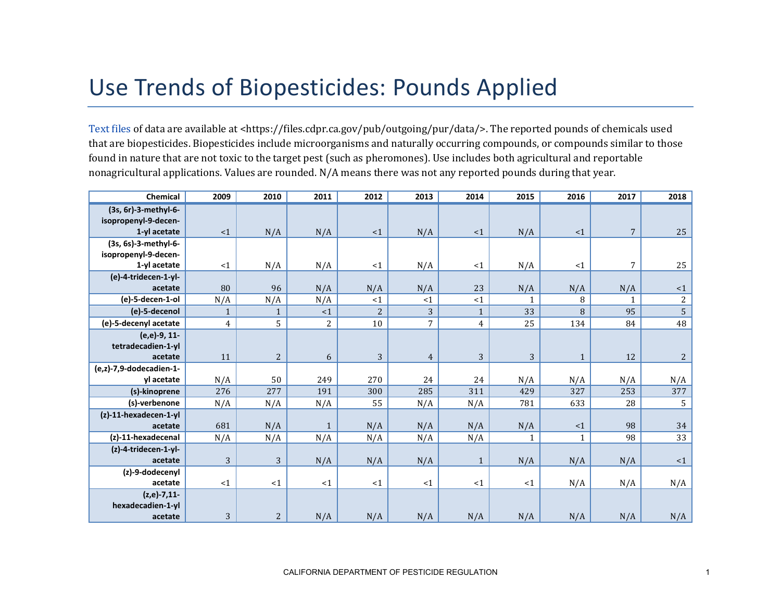## Use Trends of Biopesticides: Pounds Applied

[Text files](https://files.cdpr.ca.gov/pub/outgoing/pur/data/) of data are available at <https://files.cdpr.ca.gov/pub/outgoing/pur/data/>. The reported pounds of chemicals used that are biopesticides. Biopesticides include microorganisms and naturally occurring compounds, or compounds similar to those found in nature that are not toxic to the target pest (such as pheromones). Use includes both agricultural and reportable nonagricultural applications. Values are rounded. N/A means there was not any reported pounds during that year.

| <b>Chemical</b>          | 2009           | 2010         | 2011           | 2012           | 2013             | 2014         | 2015         | 2016         | 2017           | 2018       |
|--------------------------|----------------|--------------|----------------|----------------|------------------|--------------|--------------|--------------|----------------|------------|
| (3s, 6r)-3-methyl-6-     |                |              |                |                |                  |              |              |              |                |            |
| isopropenyl-9-decen-     |                |              |                |                |                  |              |              |              |                |            |
| 1-yl acetate             | <1             | N/A          | N/A            | <1             | N/A              | <1           | N/A          | <1           | $\overline{7}$ | 25         |
| (3s, 6s)-3-methyl-6-     |                |              |                |                |                  |              |              |              |                |            |
| isopropenyl-9-decen-     |                |              |                |                |                  |              |              |              |                |            |
| 1-yl acetate             | <1             | N/A          | N/A            | <1             | N/A              | <1           | N/A          | <1           | $\overline{7}$ | 25         |
| (e)-4-tridecen-1-yl-     |                |              |                |                |                  |              |              |              |                |            |
| acetate                  | 80             | 96           | N/A            | N/A            | N/A              | 23           | N/A          | N/A          | N/A            | $\leq$ 1   |
| (e)-5-decen-1-ol         | N/A            | N/A          | N/A            | <1             | <1               | <1           | 1            | 8            | 1              | $\sqrt{2}$ |
| (e)-5-decenol            | 1              |              | $\leq 1$       | $\overline{c}$ | 3                | $\mathbf{1}$ | 33           | 8            | 95             | 5          |
| (e)-5-decenyl acetate    | $\overline{4}$ | 5            | $\overline{c}$ | $10\,$         | $\boldsymbol{7}$ | 4            | 25           | 134          | 84             | 48         |
| (e,e)-9, 11-             |                |              |                |                |                  |              |              |              |                |            |
| tetradecadien-1-yl       |                |              |                |                |                  |              |              |              |                |            |
| acetate                  | 11             | $\mathbf{2}$ | 6              | 3              | $\overline{4}$   | 3            | 3            | 1            | 12             | $\sqrt{2}$ |
| (e,z)-7,9-dodecadien-1-  |                |              |                |                |                  |              |              |              |                |            |
| yl acetate               | N/A            | 50           | 249            | 270            | 24               | 24           | N/A          | N/A          | N/A            | N/A        |
| (s)-kinoprene            | 276            | 277          | 191            | 300            | 285              | 311          | 429          | 327          | 253            | 377        |
| (s)-verbenone            | N/A            | N/A          | N/A            | 55             | N/A              | N/A          | 781          | 633          | 28             | $\sqrt{5}$ |
| $(z)$ -11-hexadecen-1-yl |                |              |                |                |                  |              |              |              |                |            |
| acetate                  | 681            | N/A          | $\mathbf{1}$   | N/A            | N/A              | N/A          | N/A          | <1           | 98             | 34         |
| (z)-11-hexadecenal       | N/A            | N/A          | N/A            | N/A            | N/A              | N/A          | $\mathbf{1}$ | $\mathbf{1}$ | 98             | 33         |
| (z)-4-tridecen-1-yl-     |                |              |                |                |                  |              |              |              |                |            |
| acetate                  | 3              | 3            | N/A            | N/A            | N/A              | $\mathbf{1}$ | N/A          | N/A          | N/A            | <1         |
| (z)-9-dodecenyl          |                |              |                |                |                  |              |              |              |                |            |
| acetate                  | $\leq 1$       | <1           | <1             | $\leq 1$       | $\leq 1$         | <1           | <1           | N/A          | N/A            | N/A        |
| $(z,e)-7,11-$            |                |              |                |                |                  |              |              |              |                |            |
| hexadecadien-1-yl        |                |              |                |                |                  |              |              |              |                |            |
| acetate                  | 3              | $\mathbf{2}$ | N/A            | N/A            | N/A              | N/A          | N/A          | N/A          | N/A            | N/A        |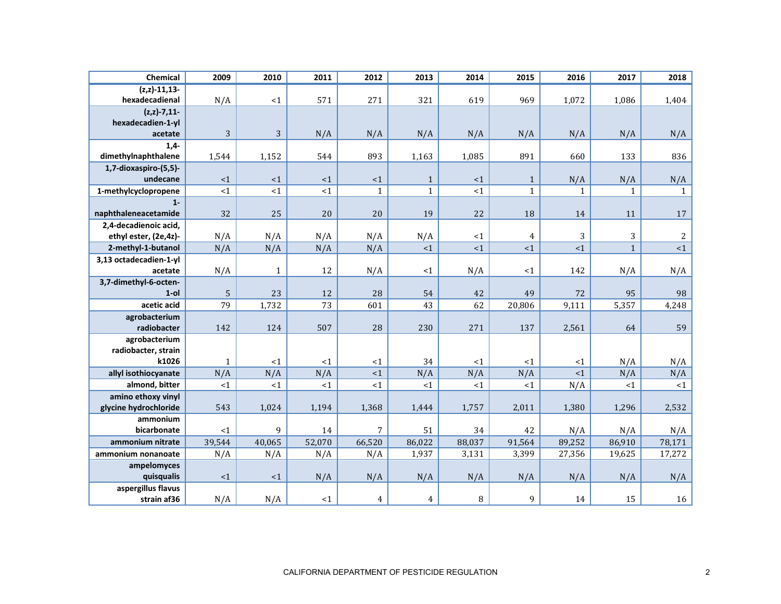| Chemical                         | 2009             | 2010         | 2011         | 2012           | 2013            | 2014            | 2015            | 2016             | 2017             | 2018           |
|----------------------------------|------------------|--------------|--------------|----------------|-----------------|-----------------|-----------------|------------------|------------------|----------------|
| $(z, z) - 11, 13 -$              |                  |              |              |                |                 |                 |                 |                  |                  |                |
| hexadecadienal                   | N/A              | $<1\,$       | 571          | 271            | 321             | 619             | 969             | 1,072            | 1,086            | 1,404          |
| $(z, z) - 7, 11 -$               |                  |              |              |                |                 |                 |                 |                  |                  |                |
| hexadecadien-1-yl<br>acetate     | 3                | 3            | N/A          | N/A            | N/A             |                 |                 |                  | N/A              | N/A            |
| $1,4-$                           |                  |              |              |                |                 | N/A             | N/A             | N/A              |                  |                |
| dimethylnaphthalene              | 1,544            | 1,152        | 544          | 893            | 1,163           | 1,085           | 891             | 660              | 133              | 836            |
| 1,7-dioxaspiro-(5,5)-            |                  |              |              |                |                 |                 |                 |                  |                  |                |
| undecane                         | ~1               | ${<}1$       | $<1$         | <1             | $\mathbf 1$     | ${<}1$          | $\mathbf{1}$    | N/A              | N/A              | N/A            |
| 1-methylcyclopropene             | ${<}1$           | $<1$         | <1           | $\mathbf{1}$   | $\mathbf{1}$    | $<\!1$          | $\mathbf{1}$    | $\mathbf{1}$     | $\mathbf{1}$     | $\mathbf{1}$   |
| $1 -$                            |                  |              |              |                |                 |                 |                 |                  |                  |                |
| naphthaleneacetamide             | 32               | 25           | 20           | 20             | 19              | 22              | 18              | 14               | 11               | 17             |
| 2,4-decadienoic acid,            |                  |              |              |                |                 |                 |                 |                  |                  |                |
| ethyl ester, (2e,4z)-            | N/A              | N/A          | N/A          | N/A            | N/A             | <1              | $\overline{4}$  | 3                | 3                | $\overline{a}$ |
| 2-methyl-1-butanol               | N/A              | N/A          | N/A          | N/A            | ${<}1$          | ${<}1$          | <1              | $\leq 1$         | $\mathbf 1$      | ${<}1$         |
| 3,13 octadecadien-1-yl           |                  |              |              |                |                 |                 |                 |                  |                  |                |
| acetate                          | N/A              | $\mathbf{1}$ | 12           | N/A            | <1              | N/A             | <1              | 142              | N/A              | N/A            |
| 3,7-dimethyl-6-octen-<br>$1$ -ol |                  | 23           | 12           | 28             |                 |                 |                 |                  | 95               | 98             |
| acetic acid                      | $\sqrt{5}$<br>79 | 1,732        | 73           | 601            | 54<br>43        | 42<br>62        | 49<br>20,806    | 72<br>9,111      | 5,357            | 4,248          |
| agrobacterium                    |                  |              |              |                |                 |                 |                 |                  |                  |                |
| radiobacter                      | 142              | 124          | 507          | 28             | 230             | 271             | 137             | 2,561            | 64               | 59             |
| agrobacterium                    |                  |              |              |                |                 |                 |                 |                  |                  |                |
| radiobacter, strain              |                  |              |              |                |                 |                 |                 |                  |                  |                |
| k1026                            | $\mathbf{1}$     | ${<}1$       | <1           | <1             | 34              | <1              | <1              | <1               | N/A              | N/A            |
| allyl isothiocyanate             | N/A              | N/A          | N/A          | <1             | N/A             | N/A             | N/A             | <1               | N/A              | N/A            |
| almond, bitter                   | ${<}1$           | <1           | <1           | <1             | ${<}1$          | <1              | <1              | N/A              | <1               | <1             |
| amino ethoxy vinyl               |                  |              |              |                |                 |                 |                 |                  |                  |                |
| glycine hydrochloride            | 543              | 1,024        | 1,194        | 1,368          | 1,444           | 1,757           | 2,011           | 1,380            | 1,296            | 2,532          |
| ammonium                         |                  | 9            |              | $\overline{7}$ |                 |                 |                 |                  |                  |                |
| bicarbonate<br>ammonium nitrate  | ${<}1$           | 40,065       | 14<br>52,070 | 66,520         | 51              | 34              | 42              | N/A              | N/A              | N/A            |
| ammonium nonanoate               | 39,544           |              | N/A          |                | 86,022<br>1,937 | 88,037<br>3,131 | 91,564<br>3,399 | 89,252<br>27,356 | 86,910<br>19,625 | 78,171         |
| ampelomyces                      | N/A              | N/A          |              | N/A            |                 |                 |                 |                  |                  | 17,272         |
| quisqualis                       | $\leq 1$         | <1           | N/A          | N/A            | N/A             | N/A             | N/A             | N/A              | N/A              | N/A            |
| aspergillus flavus               |                  |              |              |                |                 |                 |                 |                  |                  |                |
| strain af36                      | N/A              | N/A          | <1           | $\overline{4}$ | $\overline{4}$  | $\, 8$          | 9               | 14               | 15               | 16             |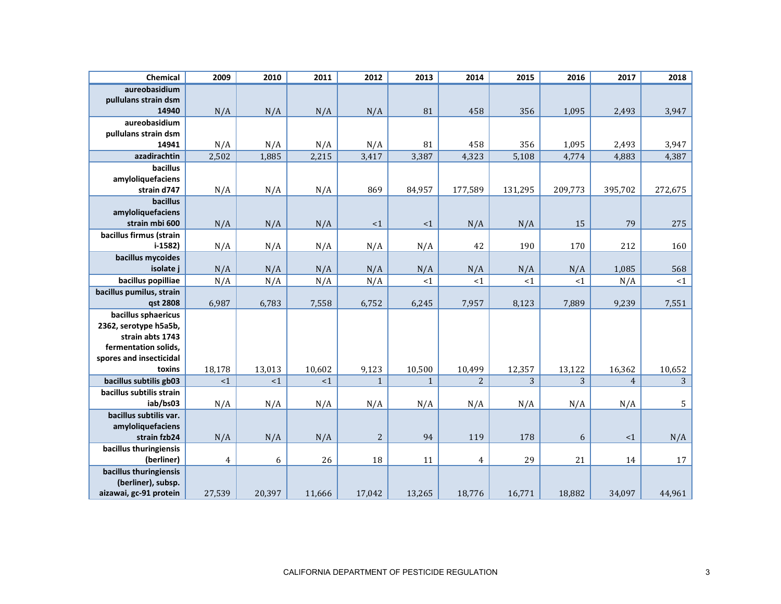| Chemical                                     | 2009           | 2010   | 2011   | 2012           | 2013         | 2014           | 2015    | 2016    | 2017           | 2018            |
|----------------------------------------------|----------------|--------|--------|----------------|--------------|----------------|---------|---------|----------------|-----------------|
| aureobasidium                                |                |        |        |                |              |                |         |         |                |                 |
| pullulans strain dsm<br>14940                | N/A            | N/A    | N/A    | N/A            | 81           | 458            | 356     | 1,095   | 2,493          | 3,947           |
| aureobasidium                                |                |        |        |                |              |                |         |         |                |                 |
| pullulans strain dsm                         |                |        |        |                |              |                |         |         |                |                 |
| 14941                                        | N/A            | N/A    | N/A    | N/A            | 81           | 458            | 356     | 1,095   | 2,493          | 3,947           |
| azadirachtin                                 | 2,502          | 1,885  | 2,215  | 3,417          | 3,387        | 4,323          | 5,108   | 4,774   | 4,883          | 4,387           |
| bacillus                                     |                |        |        |                |              |                |         |         |                |                 |
| amyloliquefaciens                            |                |        |        | 869            |              |                |         |         |                |                 |
| strain d747<br>bacillus                      | N/A            | N/A    | N/A    |                | 84,957       | 177,589        | 131,295 | 209,773 | 395,702        | 272,675         |
| amyloliquefaciens                            |                |        |        |                |              |                |         |         |                |                 |
| strain mbi 600                               | N/A            | N/A    | N/A    | <1             | ${<}1$       | N/A            | N/A     | 15      | 79             | 275             |
| bacillus firmus (strain                      |                |        |        |                |              |                |         |         |                |                 |
| $i-1582$                                     | N/A            | N/A    | N/A    | N/A            | N/A          | 42             | 190     | 170     | 212            | 160             |
| bacillus mycoides                            |                |        |        |                |              |                |         |         |                |                 |
| isolate j                                    | N/A            | N/A    | N/A    | N/A            | N/A          | N/A            | N/A     | N/A     | 1,085          | 568             |
| bacillus popilliae                           | N/A            | N/A    | N/A    | N/A            | ${<}1$       | ${<}1$         | <1      | <1      | N/A            | <1              |
| bacillus pumilus, strain<br>qst 2808         | 6,987          | 6,783  | 7,558  | 6,752          | 6,245        | 7,957          | 8,123   | 7,889   | 9,239          | 7,551           |
| bacillus sphaericus                          |                |        |        |                |              |                |         |         |                |                 |
| 2362, serotype h5a5b,                        |                |        |        |                |              |                |         |         |                |                 |
| strain abts 1743                             |                |        |        |                |              |                |         |         |                |                 |
| fermentation solids,                         |                |        |        |                |              |                |         |         |                |                 |
| spores and insecticidal                      |                |        |        |                |              |                |         |         |                |                 |
| toxins                                       | 18,178         | 13,013 | 10,602 | 9,123          | 10,500       | 10,499         | 12,357  | 13,122  | 16,362         | 10,652          |
| bacillus subtilis gb03                       | <1             | <1     | <1     | $\mathbf{1}$   | $\mathbf{1}$ | $\overline{2}$ | 3       | 3       | $\overline{4}$ | $\overline{3}$  |
| bacillus subtilis strain<br>iab/bs03         | N/A            | N/A    | N/A    | N/A            | N/A          | N/A            | N/A     | N/A     | N/A            | $5\phantom{.0}$ |
| bacillus subtilis var.                       |                |        |        |                |              |                |         |         |                |                 |
| amyloliquefaciens                            |                |        |        |                |              |                |         |         |                |                 |
| strain fzb24                                 | N/A            | N/A    | N/A    | $\overline{c}$ | 94           | 119            | 178     | 6       | $<1$           | N/A             |
| bacillus thuringiensis                       |                |        |        |                |              |                |         |         |                |                 |
| (berliner)                                   | $\overline{4}$ | 6      | 26     | 18             | 11           | $\overline{4}$ | 29      | 21      | 14             | 17              |
| bacillus thuringiensis                       |                |        |        |                |              |                |         |         |                |                 |
| (berliner), subsp.<br>aizawai, gc-91 protein | 27,539         | 20,397 | 11,666 | 17,042         | 13,265       | 18,776         | 16,771  | 18,882  | 34,097         | 44,961          |
|                                              |                |        |        |                |              |                |         |         |                |                 |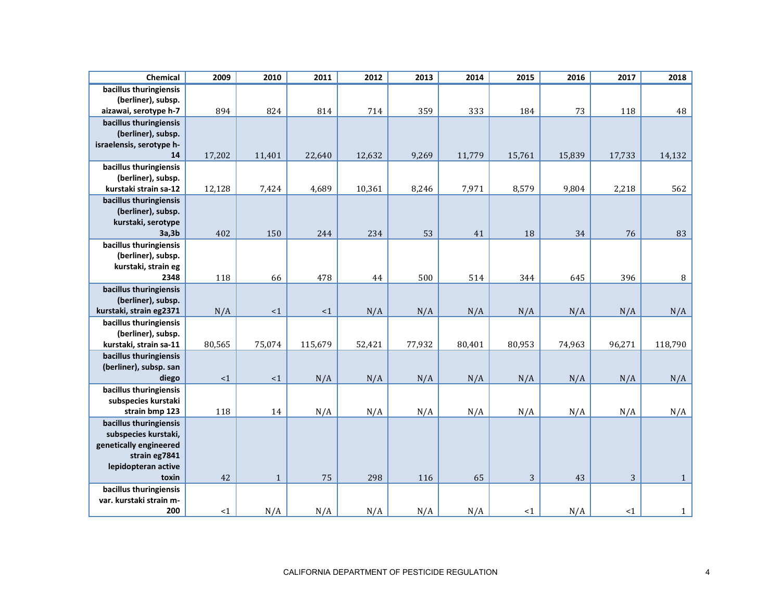| bacillus thuringiensis<br>(berliner), subsp.<br>894<br>824<br>814<br>359<br>73<br>118<br>714<br>333<br>184<br>aizawai, serotype h-7<br>bacillus thuringiensis<br>(berliner), subsp.<br>israelensis, serotype h-<br>14<br>17,202<br>11,401<br>22,640<br>12,632<br>9,269<br>11,779<br>15,761<br>15,839<br>17,733<br>bacillus thuringiensis<br>(berliner), subsp.<br>12,128<br>4,689<br>10,361<br>8,246<br>7,971<br>8,579<br>9,804<br>2,218<br>kurstaki strain sa-12<br>7,424<br>bacillus thuringiensis<br>(berliner), subsp.<br>kurstaki, serotype<br>34<br>402<br>150<br>244<br>234<br>53<br>41<br>18<br>76<br>3a,3b<br>bacillus thuringiensis<br>(berliner), subsp.<br>kurstaki, strain eg<br>478<br>396<br>2348<br>118<br>66<br>500<br>514<br>344<br>645<br>44<br>bacillus thuringiensis<br>(berliner), subsp.<br>N/A<br>N/A<br>N/A<br>N/A<br>kurstaki, strain eg2371<br><1<br><1<br>N/A<br>N/A<br>N/A<br>bacillus thuringiensis<br>(berliner), subsp.<br>80,565<br>75,074<br>52,421<br>96,271<br>kurstaki, strain sa-11<br>115,679<br>77,932<br>80,401<br>80,953<br>74,963<br>bacillus thuringiensis<br>(berliner), subsp. san<br><1<br>${<}1$<br>N/A<br>N/A<br>N/A<br>N/A<br>N/A<br>N/A<br>N/A<br>diego<br>bacillus thuringiensis<br>subspecies kurstaki<br>N/A<br>N/A<br>strain bmp 123<br>118<br>14<br>N/A<br>N/A<br>N/A<br>N/A<br>N/A<br>bacillus thuringiensis<br>subspecies kurstaki, | Chemical               | 2009 | 2010 | 2011 | 2012 | 2013 | 2014 | 2015 | 2016 | 2017 | 2018         |
|-----------------------------------------------------------------------------------------------------------------------------------------------------------------------------------------------------------------------------------------------------------------------------------------------------------------------------------------------------------------------------------------------------------------------------------------------------------------------------------------------------------------------------------------------------------------------------------------------------------------------------------------------------------------------------------------------------------------------------------------------------------------------------------------------------------------------------------------------------------------------------------------------------------------------------------------------------------------------------------------------------------------------------------------------------------------------------------------------------------------------------------------------------------------------------------------------------------------------------------------------------------------------------------------------------------------------------------------------------------------------------------------------|------------------------|------|------|------|------|------|------|------|------|------|--------------|
|                                                                                                                                                                                                                                                                                                                                                                                                                                                                                                                                                                                                                                                                                                                                                                                                                                                                                                                                                                                                                                                                                                                                                                                                                                                                                                                                                                                               |                        |      |      |      |      |      |      |      |      |      |              |
|                                                                                                                                                                                                                                                                                                                                                                                                                                                                                                                                                                                                                                                                                                                                                                                                                                                                                                                                                                                                                                                                                                                                                                                                                                                                                                                                                                                               |                        |      |      |      |      |      |      |      |      |      | 48           |
|                                                                                                                                                                                                                                                                                                                                                                                                                                                                                                                                                                                                                                                                                                                                                                                                                                                                                                                                                                                                                                                                                                                                                                                                                                                                                                                                                                                               |                        |      |      |      |      |      |      |      |      |      |              |
|                                                                                                                                                                                                                                                                                                                                                                                                                                                                                                                                                                                                                                                                                                                                                                                                                                                                                                                                                                                                                                                                                                                                                                                                                                                                                                                                                                                               |                        |      |      |      |      |      |      |      |      |      | 14,132       |
|                                                                                                                                                                                                                                                                                                                                                                                                                                                                                                                                                                                                                                                                                                                                                                                                                                                                                                                                                                                                                                                                                                                                                                                                                                                                                                                                                                                               |                        |      |      |      |      |      |      |      |      |      | 562          |
|                                                                                                                                                                                                                                                                                                                                                                                                                                                                                                                                                                                                                                                                                                                                                                                                                                                                                                                                                                                                                                                                                                                                                                                                                                                                                                                                                                                               |                        |      |      |      |      |      |      |      |      |      |              |
|                                                                                                                                                                                                                                                                                                                                                                                                                                                                                                                                                                                                                                                                                                                                                                                                                                                                                                                                                                                                                                                                                                                                                                                                                                                                                                                                                                                               |                        |      |      |      |      |      |      |      |      |      | 83           |
|                                                                                                                                                                                                                                                                                                                                                                                                                                                                                                                                                                                                                                                                                                                                                                                                                                                                                                                                                                                                                                                                                                                                                                                                                                                                                                                                                                                               |                        |      |      |      |      |      |      |      |      |      |              |
|                                                                                                                                                                                                                                                                                                                                                                                                                                                                                                                                                                                                                                                                                                                                                                                                                                                                                                                                                                                                                                                                                                                                                                                                                                                                                                                                                                                               |                        |      |      |      |      |      |      |      |      |      | $\, 8$       |
|                                                                                                                                                                                                                                                                                                                                                                                                                                                                                                                                                                                                                                                                                                                                                                                                                                                                                                                                                                                                                                                                                                                                                                                                                                                                                                                                                                                               |                        |      |      |      |      |      |      |      |      |      |              |
|                                                                                                                                                                                                                                                                                                                                                                                                                                                                                                                                                                                                                                                                                                                                                                                                                                                                                                                                                                                                                                                                                                                                                                                                                                                                                                                                                                                               |                        |      |      |      |      |      |      |      |      |      | N/A          |
|                                                                                                                                                                                                                                                                                                                                                                                                                                                                                                                                                                                                                                                                                                                                                                                                                                                                                                                                                                                                                                                                                                                                                                                                                                                                                                                                                                                               |                        |      |      |      |      |      |      |      |      |      | 118,790      |
|                                                                                                                                                                                                                                                                                                                                                                                                                                                                                                                                                                                                                                                                                                                                                                                                                                                                                                                                                                                                                                                                                                                                                                                                                                                                                                                                                                                               |                        |      |      |      |      |      |      |      |      |      | N/A          |
|                                                                                                                                                                                                                                                                                                                                                                                                                                                                                                                                                                                                                                                                                                                                                                                                                                                                                                                                                                                                                                                                                                                                                                                                                                                                                                                                                                                               |                        |      |      |      |      |      |      |      |      |      | N/A          |
| strain eg7841<br>lepidopteran active                                                                                                                                                                                                                                                                                                                                                                                                                                                                                                                                                                                                                                                                                                                                                                                                                                                                                                                                                                                                                                                                                                                                                                                                                                                                                                                                                          | genetically engineered |      |      |      |      |      |      |      |      |      |              |
| 3<br>3<br>42<br>75<br>298<br>65<br>43<br>toxin<br>$\mathbf 1$<br>116                                                                                                                                                                                                                                                                                                                                                                                                                                                                                                                                                                                                                                                                                                                                                                                                                                                                                                                                                                                                                                                                                                                                                                                                                                                                                                                          |                        |      |      |      |      |      |      |      |      |      | $\mathbf{1}$ |
| bacillus thuringiensis<br>var. kurstaki strain m-<br>200<br>N/A<br>N/A<br>N/A<br>N/A<br>N/A<br>N/A<br><1<br><1<br><1                                                                                                                                                                                                                                                                                                                                                                                                                                                                                                                                                                                                                                                                                                                                                                                                                                                                                                                                                                                                                                                                                                                                                                                                                                                                          |                        |      |      |      |      |      |      |      |      |      | $\mathbf{1}$ |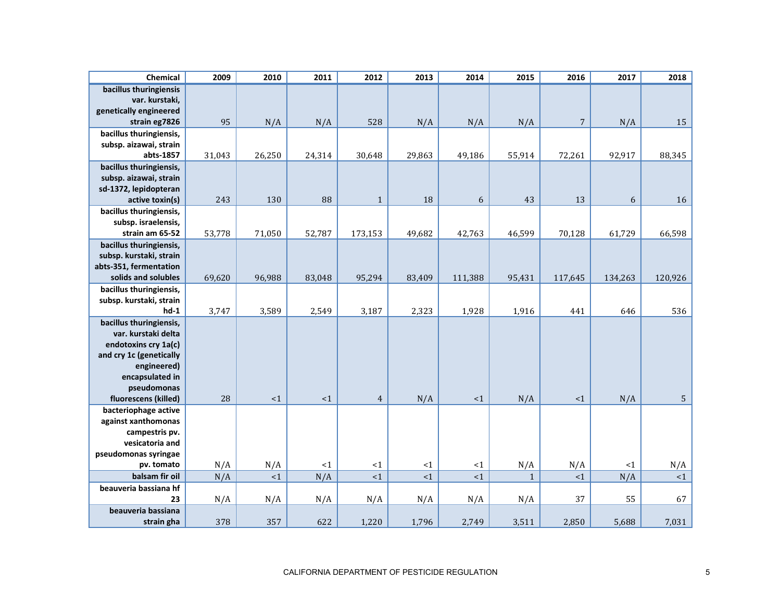| Chemical                                                                                                                                           | 2009   | 2010   | 2011   | 2012           | 2013   | 2014    | 2015         | 2016       | 2017    | 2018           |
|----------------------------------------------------------------------------------------------------------------------------------------------------|--------|--------|--------|----------------|--------|---------|--------------|------------|---------|----------------|
| bacillus thuringiensis<br>var. kurstaki,<br>genetically engineered<br>strain eg7826                                                                | 95     | N/A    | N/A    | 528            | N/A    | N/A     | N/A          | $\sqrt{ }$ | N/A     | 15             |
| bacillus thuringiensis,                                                                                                                            |        |        |        |                |        |         |              |            |         |                |
| subsp. aizawai, strain                                                                                                                             |        |        |        |                |        |         |              |            |         |                |
| abts-1857                                                                                                                                          | 31,043 | 26,250 | 24,314 | 30,648         | 29,863 | 49,186  | 55,914       | 72,261     | 92,917  | 88,345         |
| bacillus thuringiensis,<br>subsp. aizawai, strain<br>sd-1372, lepidopteran<br>active toxin(s)                                                      | 243    | 130    | 88     | $\mathbf{1}$   | 18     | 6       | 43           | 13         | 6       | 16             |
| bacillus thuringiensis,                                                                                                                            |        |        |        |                |        |         |              |            |         |                |
| subsp. israelensis,                                                                                                                                |        |        |        |                |        |         |              |            |         |                |
| strain am 65-52                                                                                                                                    | 53,778 | 71,050 | 52,787 | 173,153        | 49,682 | 42,763  | 46,599       | 70,128     | 61,729  | 66,598         |
| bacillus thuringiensis,                                                                                                                            |        |        |        |                |        |         |              |            |         |                |
| subsp. kurstaki, strain                                                                                                                            |        |        |        |                |        |         |              |            |         |                |
| abts-351, fermentation                                                                                                                             |        |        |        |                |        |         |              |            |         |                |
| solids and solubles                                                                                                                                | 69,620 | 96,988 | 83,048 | 95,294         | 83,409 | 111,388 | 95,431       | 117,645    | 134,263 | 120,926        |
| bacillus thuringiensis,                                                                                                                            |        |        |        |                |        |         |              |            |         |                |
| subsp. kurstaki, strain                                                                                                                            |        |        |        |                |        |         |              |            |         |                |
| $hd-1$                                                                                                                                             | 3,747  | 3,589  | 2,549  | 3,187          | 2,323  | 1,928   | 1,916        | 441        | 646     | 536            |
| bacillus thuringiensis,<br>var. kurstaki delta<br>endotoxins cry 1a(c)<br>and cry 1c (genetically<br>engineered)<br>encapsulated in<br>pseudomonas |        |        |        |                |        |         |              |            |         |                |
| fluorescens (killed)                                                                                                                               | 28     | <1     | <1     | $\overline{4}$ | N/A    | ${<}1$  | N/A          | <1         | N/A     | 5 <sup>1</sup> |
| bacteriophage active<br>against xanthomonas<br>campestris pv.<br>vesicatoria and                                                                   |        |        |        |                |        |         |              |            |         |                |
| pseudomonas syringae                                                                                                                               |        |        |        |                |        |         |              |            |         |                |
| pv. tomato                                                                                                                                         | N/A    | N/A    | ${<}1$ | <1             | <1     | <1      | N/A          | N/A        | $<1\,$  | N/A            |
| balsam fir oil                                                                                                                                     | N/A    | <1     | N/A    | <1             | <1     | <1      | $\mathbf{1}$ | <1         | N/A     | <1             |
| beauveria bassiana hf<br>23                                                                                                                        | N/A    | N/A    | N/A    | N/A            | N/A    | N/A     | N/A          | 37         | 55      | 67             |
| beauveria bassiana                                                                                                                                 |        |        |        |                |        |         |              |            |         |                |
| strain gha                                                                                                                                         | 378    | 357    | 622    | 1,220          | 1,796  | 2,749   | 3,511        | 2,850      | 5,688   | 7,031          |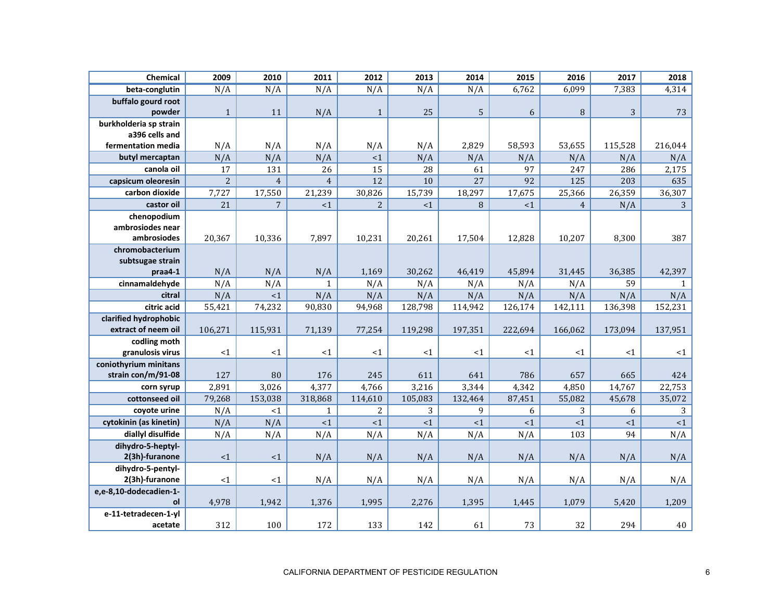| Chemical               | 2009           | 2010           | 2011            | 2012            | 2013    | 2014    | 2015    | 2016           | 2017    | 2018         |
|------------------------|----------------|----------------|-----------------|-----------------|---------|---------|---------|----------------|---------|--------------|
| beta-conglutin         | N/A            | N/A            | N/A             | N/A             | N/A     | N/A     | 6,762   | 6,099          | 7,383   | 4,314        |
| buffalo gourd root     |                |                |                 |                 |         |         |         |                |         |              |
| powder                 | $\mathbf{1}$   | 11             | N/A             | $\mathbf{1}$    | 25      | 5       | 6       | 8              | 3       | 73           |
| burkholderia sp strain |                |                |                 |                 |         |         |         |                |         |              |
| a396 cells and         |                |                |                 |                 |         |         |         |                |         |              |
| fermentation media     | N/A            | N/A            | N/A             | N/A             | N/A     | 2,829   | 58,593  | 53,655         | 115,528 | 216,044      |
| butyl mercaptan        | N/A            | N/A            | N/A             | $<1\,$          | N/A     | N/A     | N/A     | N/A            | N/A     | N/A          |
| canola oil             | 17             | 131            | $\overline{26}$ | $\overline{15}$ | 28      | 61      | 97      | 247            | 286     | 2,175        |
| capsicum oleoresin     | $\overline{2}$ | $\overline{4}$ | $\overline{4}$  | 12              | 10      | 27      | 92      | 125            | 203     | 635          |
| carbon dioxide         | 7,727          | 17,550         | 21,239          | 30,826          | 15,739  | 18,297  | 17,675  | 25,366         | 26,359  | 36,307       |
| castor oil             | 21             | $\overline{7}$ | ${<}1$          | $\overline{c}$  | <1      | $\, 8$  | <1      | $\overline{4}$ | N/A     | $\mathbf{3}$ |
| chenopodium            |                |                |                 |                 |         |         |         |                |         |              |
| ambrosiodes near       |                |                |                 |                 |         |         |         |                |         |              |
| ambrosiodes            | 20,367         | 10,336         | 7,897           | 10,231          | 20,261  | 17,504  | 12,828  | 10,207         | 8,300   | 387          |
| chromobacterium        |                |                |                 |                 |         |         |         |                |         |              |
| subtsugae strain       |                |                |                 |                 |         |         |         |                |         |              |
| praa4-1                | N/A            | N/A            | N/A             | 1,169           | 30,262  | 46,419  | 45,894  | 31,445         | 36,385  | 42,397       |
| cinnamaldehyde         | N/A            | N/A            | $\mathbf{1}$    | N/A             | N/A     | N/A     | N/A     | N/A            | 59      | $\mathbf{1}$ |
| citral                 | N/A            | <1             | N/A             | N/A             | N/A     | N/A     | N/A     | N/A            | N/A     | N/A          |
| citric acid            | 55,421         | 74,232         | 90,830          | 94,968          | 128,798 | 114,942 | 126,174 | 142,111        | 136,398 | 152,231      |
| clarified hydrophobic  |                |                |                 |                 |         |         |         |                |         |              |
| extract of neem oil    | 106,271        | 115,931        | 71,139          | 77,254          | 119,298 | 197,351 | 222,694 | 166,062        | 173,094 | 137,951      |
| codling moth           |                |                |                 |                 |         |         |         |                |         |              |
| granulosis virus       | ${<}1$         | <1             | <1              | $<$ 1           | <1      | <1      | <1      | <1             | <1      | <1           |
| coniothyrium minitans  |                |                |                 |                 |         |         |         |                |         |              |
| strain con/m/91-08     | 127            | 80             | 176             | 245             | 611     | 641     | 786     | 657            | 665     | 424          |
| corn syrup             | 2,891          | 3,026          | 4,377           | 4,766           | 3,216   | 3,344   | 4,342   | 4,850          | 14,767  | 22,753       |
| cottonseed oil         | 79,268         | 153,038        | 318,868         | 114,610         | 105,083 | 132,464 | 87,451  | 55,082         | 45,678  | 35,072       |
| covote urine           | N/A            | <1             | $\mathbf{1}$    | 2               | 3       | 9       | 6       | 3              | 6       | 3            |
| cytokinin (as kinetin) | N/A            | N/A            | <1              | $<1\,$          | ${<}1$  | ${<}1$  | ${<}1$  | <1             | $<1$    | ${<}1$       |
| diallyl disulfide      | N/A            | N/A            | N/A             | N/A             | N/A     | N/A     | N/A     | 103            | 94      | N/A          |
| dihydro-5-heptyl-      |                |                |                 |                 |         |         |         |                |         |              |
| 2(3h)-furanone         | $\leq 1$       | <1             | N/A             | N/A             | N/A     | N/A     | N/A     | N/A            | N/A     | N/A          |
| dihydro-5-pentyl-      |                |                |                 |                 |         |         |         |                |         |              |
| 2(3h)-furanone         | ${<}1$         | <1             | N/A             | N/A             | N/A     | N/A     | N/A     | N/A            | N/A     | N/A          |
| e,e-8,10-dodecadien-1- |                |                |                 |                 |         |         |         |                |         |              |
| ol                     | 4,978          | 1,942          | 1,376           | 1,995           | 2,276   | 1,395   | 1,445   | 1,079          | 5,420   | 1,209        |
| e-11-tetradecen-1-yl   |                |                |                 |                 |         |         |         |                |         |              |
| acetate                | 312            | 100            | 172             | 133             | 142     | 61      | 73      | 32             | 294     | 40           |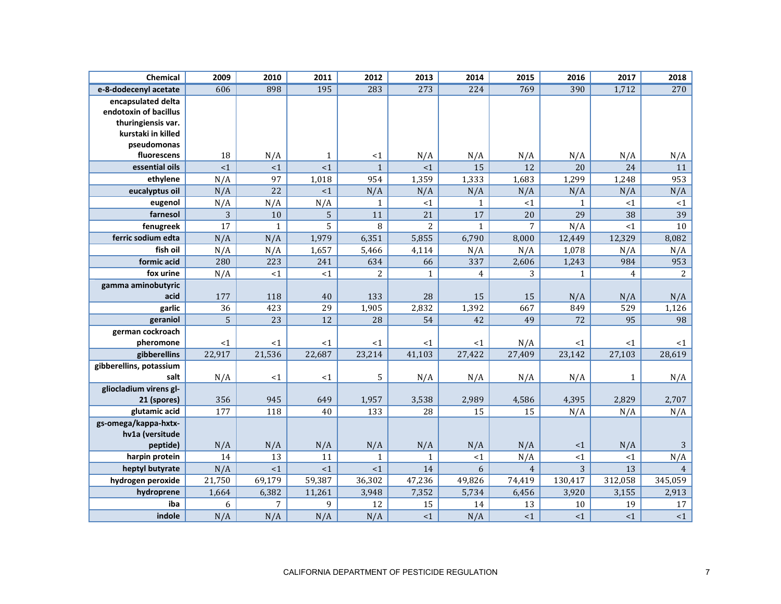| Chemical                | 2009           | 2010           | 2011           | 2012           | 2013           | 2014           | 2015           | 2016         | 2017            | 2018           |
|-------------------------|----------------|----------------|----------------|----------------|----------------|----------------|----------------|--------------|-----------------|----------------|
| e-8-dodecenyl acetate   | 606            | 898            | 195            | 283            | 273            | 224            | 769            | 390          | 1,712           | 270            |
| encapsulated delta      |                |                |                |                |                |                |                |              |                 |                |
| endotoxin of bacillus   |                |                |                |                |                |                |                |              |                 |                |
| thuringiensis var.      |                |                |                |                |                |                |                |              |                 |                |
| kurstaki in killed      |                |                |                |                |                |                |                |              |                 |                |
| pseudomonas             |                |                |                |                |                |                |                |              |                 |                |
| fluorescens             | 18             | N/A            | $\mathbf{1}$   | <1             | N/A            | N/A            | N/A            | N/A          | N/A             | N/A            |
| essential oils          | <1             | <1             | <1             | $\mathbf{1}$   | $\leq 1$       | 15             | 12             | 20           | 24              | 11             |
| ethylene                | N/A            | 97             | 1,018          | 954            | 1,359          | 1,333          | 1,683          | 1,299        | 1,248           | 953            |
| eucalyptus oil          | N/A            | 22             | <1             | N/A            | N/A            | N/A            | N/A            | N/A          | N/A             | N/A            |
| eugenol                 | N/A            | N/A            | N/A            | $\mathbf{1}$   | ${<}1$         | $\mathbf{1}$   | $<1$           | $\mathbf{1}$ | <1              | ${<}1$         |
| farnesol                | 3              | 10             | $\overline{5}$ | 11             | 21             | 17             | 20             | 29           | 38              | 39             |
| fenugreek               | 17             | $\mathbf{1}$   | 5              | 8              | $\overline{2}$ | $\mathbf{1}$   | $\overline{7}$ | N/A          | <1              | 10             |
| ferric sodium edta      | N/A            | N/A            | 1,979          | 6,351          | 5,855          | 6,790          | 8,000          | 12,449       | 12,329          | 8,082          |
| fish oil                | N/A            | N/A            | 1,657          | 5,466          | 4,114          | N/A            | N/A            | 1,078        | N/A             | N/A            |
| formic acid             | 280            | 223            | 241            | 634            | 66             | 337            | 2,606          | 1,243        | 984             | 953            |
| fox urine               | N/A            | <1             | ${<}1$         | $\overline{c}$ | $\mathbf{1}$   | $\overline{4}$ | 3              | $\mathbf{1}$ | $\overline{4}$  | $\overline{2}$ |
| gamma aminobutyric      |                |                |                |                |                |                |                |              |                 |                |
| acid                    | 177            | 118            | 40             | 133            | 28             | 15             | 15             | N/A          | N/A             | N/A            |
| garlic                  | 36             | 423            | 29             | 1,905          | 2,832          | 1,392          | 667            | 849          | 529             | 1,126          |
| geraniol                | $\overline{5}$ | 23             | 12             | 28             | 54             | 42             | 49             | 72           | 95              | 98             |
| german cockroach        |                |                |                |                |                |                |                |              |                 |                |
| pheromone               | <1             | <1             | <1             | $<$ 1          | <1             | <1             | N/A            | <1           | <1              | <1             |
| gibberellins            | 22,917         | 21,536         | 22,687         | 23,214         | 41,103         | 27,422         | 27,409         | 23,142       | 27,103          | 28,619         |
| gibberellins, potassium |                |                |                |                |                |                |                |              |                 |                |
| salt                    | N/A            | <1             | <1             | 5              | N/A            | N/A            | N/A            | N/A          | $\mathbf{1}$    | N/A            |
| gliocladium virens gl-  |                |                |                |                |                |                |                |              |                 |                |
| 21 (spores)             | 356            | 945            | 649            | 1,957          | 3,538          | 2,989          | 4,586          | 4,395        | 2,829           | 2,707          |
| glutamic acid           | 177            | 118            | 40             | 133            | 28             | 15             | 15             | N/A          | N/A             | N/A            |
| gs-omega/kappa-hxtx-    |                |                |                |                |                |                |                |              |                 |                |
| hv1a (versitude         |                |                |                |                |                |                |                |              |                 |                |
| peptide)                | N/A            | N/A            | N/A            | N/A            | N/A            | N/A            | N/A            | ${<}1$       | N/A             | $\sqrt{3}$     |
| harpin protein          | 14             | 13             | 11             | $\mathbf{1}$   | $\mathbf{1}$   | $\leq 1$       | N/A            | <1           | <1              | N/A            |
| heptyl butyrate         | N/A            | <1             | $\leq 1$       | <1             | 14             | 6              | $\overline{4}$ | 3            | $\overline{13}$ | $\overline{4}$ |
| hydrogen peroxide       | 21,750         | 69,179         | 59,387         | 36,302         | 47,236         | 49,826         | 74,419         | 130,417      | 312,058         | 345,059        |
| hydroprene              | 1,664          | 6,382          | 11,261         | 3,948          | 7,352          | 5,734          | 6,456          | 3,920        | 3,155           | 2,913          |
| iba                     | 6              | $\overline{7}$ | 9              | 12             | 15             | 14             | 13             | 10           | 19              | 17             |
| indole                  | N/A            | N/A            | N/A            | N/A            | <1             | N/A            | <1             | <1           | <1              | $<1\,$         |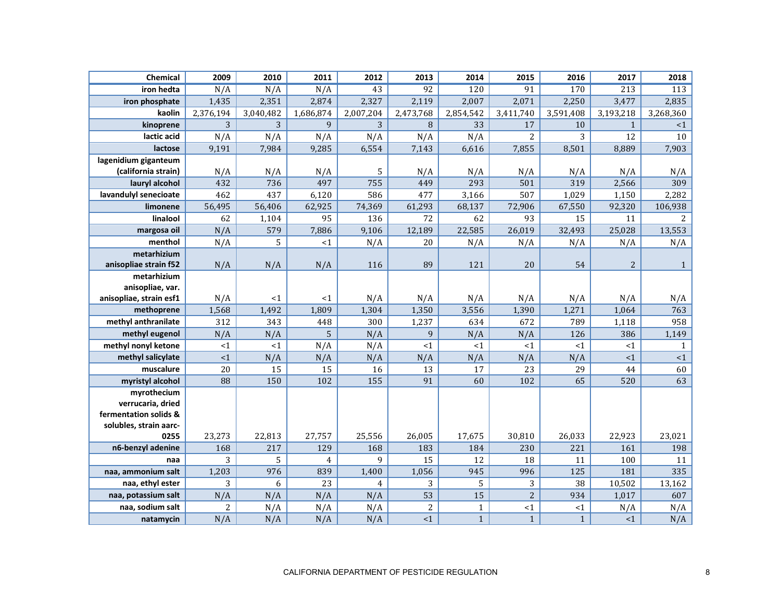| Chemical                       | 2009           | 2010      | 2011            | 2012           | 2013           | 2014            | 2015           | 2016         | 2017           | 2018           |
|--------------------------------|----------------|-----------|-----------------|----------------|----------------|-----------------|----------------|--------------|----------------|----------------|
| iron hedta                     | N/A            | N/A       | N/A             | 43             | 92             | 120             | 91             | 170          | 213            | 113            |
| iron phosphate                 | 1,435          | 2,351     | 2,874           | 2,327          | 2,119          | 2,007           | 2,071          | 2,250        | 3,477          | 2,835          |
| kaolin                         | 2,376,194      | 3,040,482 | 1,686,874       | 2,007,204      | 2,473,768      | 2,854,542       | 3,411,740      | 3,591,408    | 3,193,218      | 3,268,360      |
| kinoprene                      | 3              | 3         | 9               | 3              | $\, 8$         | $\overline{33}$ | 17             | 10           | $\mathbf{1}$   | <1             |
| lactic acid                    | N/A            | N/A       | N/A             | N/A            | N/A            | N/A             | $\overline{2}$ | 3            | 12             | 10             |
| lactose                        | 9,191          | 7,984     | 9,285           | 6,554          | 7,143          | 6,616           | 7,855          | 8,501        | 8,889          | 7,903          |
| lagenidium giganteum           |                |           |                 |                |                |                 |                |              |                |                |
| (california strain)            | N/A            | N/A       | N/A             | 5              | N/A            | N/A             | N/A            | N/A          | N/A            | N/A            |
| lauryl alcohol                 | 432            | 736       | 497             | 755            | 449            | 293             | 501            | 319          | 2,566          | 309            |
| lavandulyl senecioate          | 462            | 437       | 6,120           | 586            | 477            | 3,166           | 507            | 1,029        | 1,150          | 2,282          |
| limonene                       | 56,495         | 56,406    | 62,925          | 74,369         | 61,293         | 68,137          | 72,906         | 67,550       | 92,320         | 106,938        |
| linalool                       | 62             | 1,104     | 95              | 136            | 72             | 62              | 93             | 15           | 11             | $\overline{2}$ |
| margosa oil                    | N/A            | 579       | 7,886           | 9,106          | 12,189         | 22,585          | 26,019         | 32,493       | 25,028         | 13,553         |
| menthol                        | N/A            | 5         | <1              | N/A            | 20             | N/A             | N/A            | N/A          | N/A            | N/A            |
| metarhizium                    |                |           |                 |                |                |                 |                |              |                |                |
| anisopliae strain f52          | N/A            | N/A       | N/A             | 116            | 89             | 121             | 20             | 54           | $\overline{c}$ | $\mathbf{1}$   |
| metarhizium                    |                |           |                 |                |                |                 |                |              |                |                |
| anisopliae, var.               |                |           |                 |                |                |                 |                |              |                |                |
| anisopliae, strain esf1        | N/A            | <1        | <1              | N/A            | N/A            | N/A             | N/A            | N/A          | N/A            | N/A            |
| methoprene                     | 1,568          | 1,492     | 1,809           | 1,304          | 1,350          | 3,556           | 1,390          | 1,271        | 1,064          | 763            |
| methyl anthranilate            | 312            | 343       | 448             | 300            | 1,237          | 634             | 672            | 789          | 1,118          | 958            |
| methyl eugenol                 | N/A            | N/A       | 5               | N/A            | 9              | N/A             | N/A            | 126          | 386            | 1,149          |
| methyl nonyl ketone            | <1             | <1        | N/A             | N/A            | <1             | $<$ 1           | <1             | <1           | <1             | $\mathbf{1}$   |
| methyl salicylate              | ${<}1$         | N/A       | N/A             | N/A            | N/A            | N/A             | N/A            | N/A          | $<1\,$         | ${<}1$         |
| muscalure                      | 20             | 15        | 15              | 16             | 13             | 17              | 23             | 29           | 44             | 60             |
| myristyl alcohol               | 88             | 150       | 102             | 155            | 91             | 60              | 102            | 65           | 520            | 63             |
| myrothecium                    |                |           |                 |                |                |                 |                |              |                |                |
| verrucaria, dried              |                |           |                 |                |                |                 |                |              |                |                |
| fermentation solids &          |                |           |                 |                |                |                 |                |              |                |                |
| solubles, strain aarc-<br>0255 | 23,273         | 22,813    | 27,757          | 25,556         | 26,005         | 17,675          | 30,810         | 26,033       | 22,923         | 23,021         |
| n6-benzyl adenine              | 168            | 217       | 129             | 168            | 183            | 184             | 230            | 221          | 161            | 198            |
| naa                            | 3              | 5         | $\overline{4}$  | 9              | 15             | 12              | 18             | 11           | 100            | 11             |
| naa, ammonium salt             | 1,203          | 976       | 839             | 1,400          | 1,056          | 945             | 996            | 125          | 181            | 335            |
| naa, ethyl ester               | 3              | 6         | $\overline{23}$ | $\overline{4}$ | 3              | 5               | 3              | 38           | 10,502         | 13,162         |
| naa, potassium salt            | N/A            | N/A       | N/A             | N/A            | 53             | 15              | $\overline{c}$ | 934          | 1,017          | 607            |
| naa, sodium salt               | $\overline{2}$ | N/A       | N/A             | N/A            | $\overline{c}$ | $\mathbf{1}$    | $<1\,$         | <1           | N/A            | N/A            |
| natamycin                      | N/A            | N/A       | N/A             | N/A            | <1             | $\mathbf{1}$    | $\mathbf{1}$   | $\mathbf{1}$ | <1             | N/A            |
|                                |                |           |                 |                |                |                 |                |              |                |                |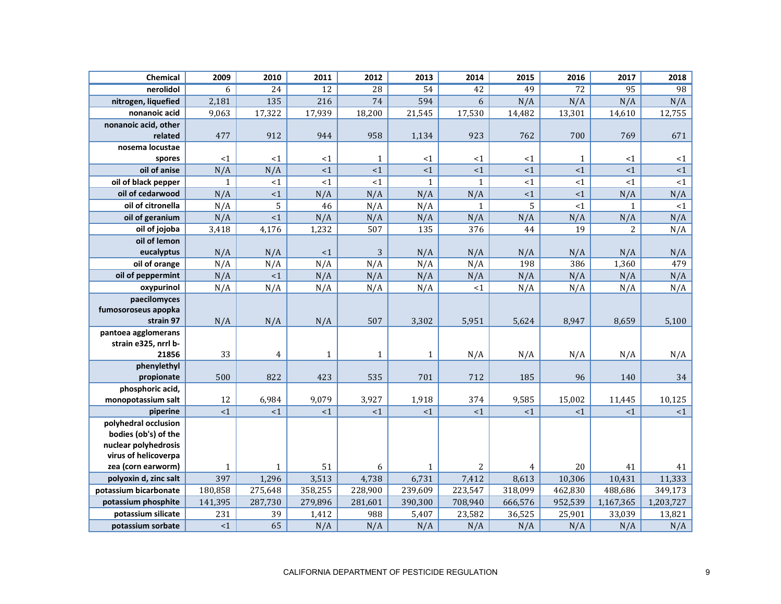| Chemical                                    | 2009         | 2010            | 2011            | 2012            | 2013         | 2014            | 2015           | 2016            | 2017            | 2018      |
|---------------------------------------------|--------------|-----------------|-----------------|-----------------|--------------|-----------------|----------------|-----------------|-----------------|-----------|
| nerolidol                                   | 6            | $\overline{24}$ | $\overline{12}$ | $\overline{28}$ | 54           | $\overline{42}$ | 49             | $\overline{72}$ | $\overline{95}$ | 98        |
| nitrogen, liquefied                         | 2,181        | 135             | 216             | 74              | 594          | 6               | N/A            | N/A             | N/A             | N/A       |
| nonanoic acid                               | 9,063        | 17,322          | 17,939          | 18,200          | 21,545       | 17,530          | 14,482         | 13,301          | 14,610          | 12,755    |
| nonanoic acid, other                        |              |                 |                 |                 |              |                 |                |                 |                 |           |
| related                                     | 477          | 912             | 944             | 958             | 1,134        | 923             | 762            | 700             | 769             | 671       |
| nosema locustae                             |              |                 |                 |                 |              |                 |                |                 |                 |           |
| spores                                      | ${<}1$       | <1              | $\leq 1$        | $\mathbf{1}$    | <1           | <1              | <1             | $\mathbf{1}$    | <1              | $\leq 1$  |
| oil of anise                                | N/A          | N/A             | <1              | <1              | ${<}1$       | <1              | <1             | <1              | <1              | ${<}1$    |
| oil of black pepper                         | $\mathbf{1}$ | <1              | $\overline{1}$  | <1              | $\mathbf{1}$ | $\mathbf{1}$    | <1             | <1              | $\leq 1$        | <1        |
| oil of cedarwood                            | N/A          | $<1\,$          | N/A             | N/A             | N/A          | N/A             | $<1\,$         | <1              | N/A             | N/A       |
| oil of citronella                           | N/A          | 5               | 46              | N/A             | N/A          | $\mathbf{1}$    | 5              | <1              | $\mathbf{1}$    | $<1\,$    |
| oil of geranium                             | N/A          | <1              | N/A             | N/A             | N/A          | N/A             | N/A            | N/A             | N/A             | N/A       |
| oil of jojoba                               | 3,418        | 4,176           | 1,232           | 507             | 135          | 376             | 44             | 19              | $\overline{c}$  | N/A       |
| oil of lemon                                |              |                 |                 |                 |              |                 |                |                 |                 |           |
| eucalyptus                                  | N/A          | N/A             | <1              | 3               | N/A          | N/A             | N/A            | N/A             | N/A             | N/A       |
| oil of orange                               | N/A          | N/A             | N/A             | N/A             | N/A          | N/A             | 198            | 386             | 1,360           | 479       |
| oil of peppermint                           | N/A          | <1              | N/A             | N/A             | N/A          | N/A             | N/A            | N/A             | N/A             | N/A       |
| oxypurinol                                  | N/A          | N/A             | N/A             | N/A             | N/A          | <1              | N/A            | N/A             | N/A             | N/A       |
| paecilomyces                                |              |                 |                 |                 |              |                 |                |                 |                 |           |
| fumosoroseus apopka                         |              |                 |                 |                 |              |                 |                |                 |                 |           |
| strain 97                                   | N/A          | N/A             | N/A             | 507             | 3,302        | 5,951           | 5,624          | 8,947           | 8,659           | 5,100     |
| pantoea agglomerans<br>strain e325, nrrl b- |              |                 |                 |                 |              |                 |                |                 |                 |           |
| 21856                                       | 33           | $\overline{4}$  | $\mathbf{1}$    | $\mathbf{1}$    | $\mathbf{1}$ | N/A             | N/A            | N/A             | N/A             | N/A       |
| phenylethyl                                 |              |                 |                 |                 |              |                 |                |                 |                 |           |
| propionate                                  | 500          | 822             | 423             | 535             | 701          | 712             | 185            | 96              | 140             | 34        |
| phosphoric acid,                            |              |                 |                 |                 |              |                 |                |                 |                 |           |
| monopotassium salt                          | 12           | 6,984           | 9,079           | 3,927           | 1,918        | 374             | 9,585          | 15,002          | 11,445          | 10,125    |
| piperine                                    | $\leq 1$     | <1              | <1              | <1              | <1           | <1              | <1             | <1              | <1              | <1        |
| polyhedral occlusion                        |              |                 |                 |                 |              |                 |                |                 |                 |           |
| bodies (ob's) of the                        |              |                 |                 |                 |              |                 |                |                 |                 |           |
| nuclear polyhedrosis                        |              |                 |                 |                 |              |                 |                |                 |                 |           |
| virus of helicoverpa                        |              |                 |                 |                 |              |                 |                |                 |                 |           |
| zea (corn earworm)                          | $\mathbf{1}$ | $\mathbf{1}$    | 51              | 6               | $\mathbf{1}$ | $\overline{2}$  | $\overline{4}$ | 20              | 41              | 41        |
| polyoxin d, zinc salt                       | 397          | 1,296           | 3,513           | 4,738           | 6,731        | 7,412           | 8,613          | 10,306          | 10,431          | 11,333    |
| potassium bicarbonate                       | 180,858      | 275,648         | 358,255         | 228,900         | 239,609      | 223,547         | 318,099        | 462,830         | 488,686         | 349,173   |
| potassium phosphite                         | 141,395      | 287,730         | 279,896         | 281,601         | 390,300      | 708,940         | 666,576        | 952,539         | 1,167,365       | 1,203,727 |
| potassium silicate                          | 231          | 39              | 1,412           | 988             | 5,407        | 23,582          | 36,525         | 25,901          | 33,039          | 13,821    |
| potassium sorbate                           | ${<}1$       | 65              | N/A             | N/A             | N/A          | N/A             | N/A            | N/A             | N/A             | N/A       |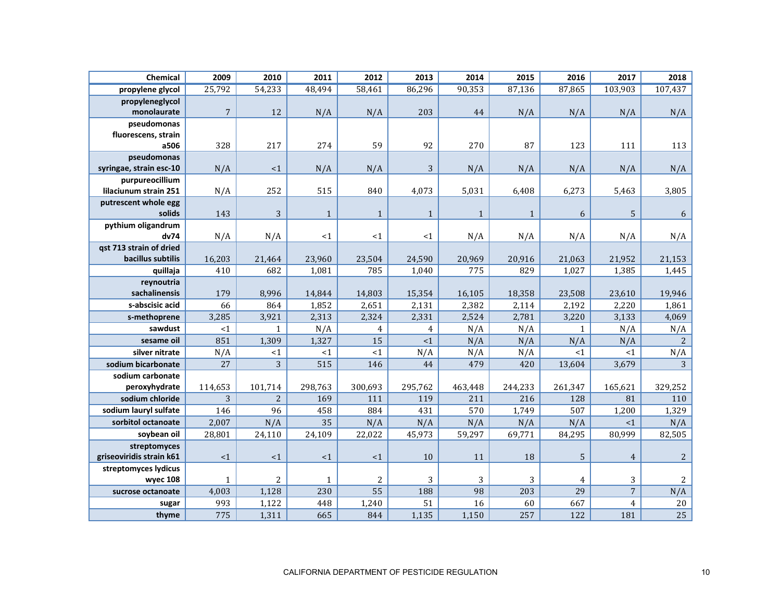| Chemical                 | 2009           | 2010           | 2011         | 2012           | 2013           | 2014         | 2015         | 2016         | 2017             | 2018           |
|--------------------------|----------------|----------------|--------------|----------------|----------------|--------------|--------------|--------------|------------------|----------------|
| propylene glycol         | 25,792         | 54,233         | 48,494       | 58,461         | 86,296         | 90,353       | 87,136       | 87,865       | 103,903          | 107,437        |
| propyleneglycol          |                |                |              |                |                |              |              |              |                  |                |
| monolaurate              | $\overline{7}$ | 12             | N/A          | N/A            | 203            | 44           | N/A          | N/A          | N/A              | N/A            |
| pseudomonas              |                |                |              |                |                |              |              |              |                  |                |
| fluorescens, strain      |                |                |              |                |                |              |              |              |                  |                |
| a506                     | 328            | 217            | 274          | 59             | 92             | 270          | 87           | 123          | 111              | 113            |
| pseudomonas              |                |                |              |                |                |              |              |              |                  |                |
| syringae, strain esc-10  | N/A            | <1             | N/A          | N/A            | 3              | N/A          | N/A          | N/A          | N/A              | N/A            |
| purpureocillium          |                |                |              |                |                |              |              |              |                  |                |
| lilaciunum strain 251    | N/A            | 252            | 515          | 840            | 4,073          | 5,031        | 6,408        | 6,273        | 5,463            | 3,805          |
| putrescent whole egg     |                |                |              |                |                |              |              |              |                  |                |
| solids                   | 143            | 3              | $\mathbf{1}$ | $\mathbf{1}$   | $\,1\,$        | $\mathbf{1}$ | $\mathbf{1}$ | 6            | $\mathsf S$      | $\sqrt{6}$     |
| pythium oligandrum       |                |                |              |                |                |              |              |              |                  |                |
| dv74                     | N/A            | N/A            | ${<}1$       | <1             | <1             | N/A          | N/A          | N/A          | N/A              | N/A            |
| gst 713 strain of dried  |                |                |              |                |                |              |              |              |                  |                |
| bacillus subtilis        | 16,203         | 21,464         | 23,960       | 23,504         | 24,590         | 20,969       | 20,916       | 21,063       | 21,952           | 21,153         |
| quillaja                 | 410            | 682            | 1,081        | 785            | 1,040          | 775          | 829          | 1,027        | 1,385            | 1,445          |
| reynoutria               |                |                |              |                |                |              |              |              |                  |                |
| sachalinensis            | 179            | 8,996          | 14,844       | 14,803         | 15,354         | 16,105       | 18,358       | 23,508       | 23,610           | 19,946         |
| s-abscisic acid          | 66             | 864            | 1,852        | 2,651          | 2,131          | 2,382        | 2,114        | 2,192        | 2,220            | 1,861          |
| s-methoprene             | 3,285          | 3,921          | 2,313        | 2,324          | 2,331          | 2,524        | 2,781        | 3,220        | 3,133            | 4,069          |
| sawdust                  | <1             | $\mathbf{1}$   | N/A          | $\overline{4}$ | $\overline{4}$ | N/A          | N/A          | $\mathbf{1}$ | N/A              | N/A            |
| sesame oil               | 851            | 1,309          | 1,327        | 15             | <1             | N/A          | N/A          | N/A          | N/A              | $\overline{2}$ |
| silver nitrate           | N/A            | <1             | ${<}1$       | <1             | N/A            | N/A          | N/A          | <1           | <1               | N/A            |
| sodium bicarbonate       | 27             | 3              | 515          | 146            | 44             | 479          | 420          | 13,604       | 3,679            | 3              |
| sodium carbonate         |                |                |              |                |                |              |              |              |                  |                |
| peroxyhydrate            | 114,653        | 101,714        | 298,763      | 300,693        | 295,762        | 463,448      | 244,233      | 261,347      | 165,621          | 329,252        |
| sodium chloride          | 3              | $\overline{2}$ | 169          | 111            | 119            | 211          | 216          | 128          | 81               | 110            |
| sodium lauryl sulfate    | 146            | 96             | 458          | 884            | 431            | 570          | 1,749        | 507          | 1,200            | 1,329          |
| sorbitol octanoate       | 2,007          | N/A            | 35           | N/A            | N/A            | N/A          | N/A          | N/A          | <1               | N/A            |
| soybean oil              | 28,801         | 24,110         | 24,109       | 22,022         | 45,973         | 59,297       | 69,771       | 84,295       | 80,999           | 82,505         |
| streptomyces             |                |                |              |                |                |              |              |              |                  |                |
| griseoviridis strain k61 | <1             | <1             | $\leq$ 1     | <1             | 10             | 11           | 18           | 5            | $\boldsymbol{4}$ | $\sqrt{2}$     |
| streptomyces lydicus     |                |                |              |                |                |              |              |              |                  |                |
| wyec 108                 | $\mathbf{1}$   | $\overline{c}$ | $\mathbf{1}$ | 2              | 3              | 3            | 3            | 4            | 3                | $\overline{c}$ |
| sucrose octanoate        | 4,003          | 1,128          | 230          | 55             | 188            | 98           | 203          | 29           | $\sqrt{ }$       | N/A            |
| sugar                    | 993            | 1,122          | 448          | 1,240          | 51             | 16           | 60           | 667          | $\pmb{4}$        | $20\,$         |
| thyme                    | 775            | 1,311          | 665          | 844            | 1,135          | 1,150        | 257          | 122          | 181              | 25             |